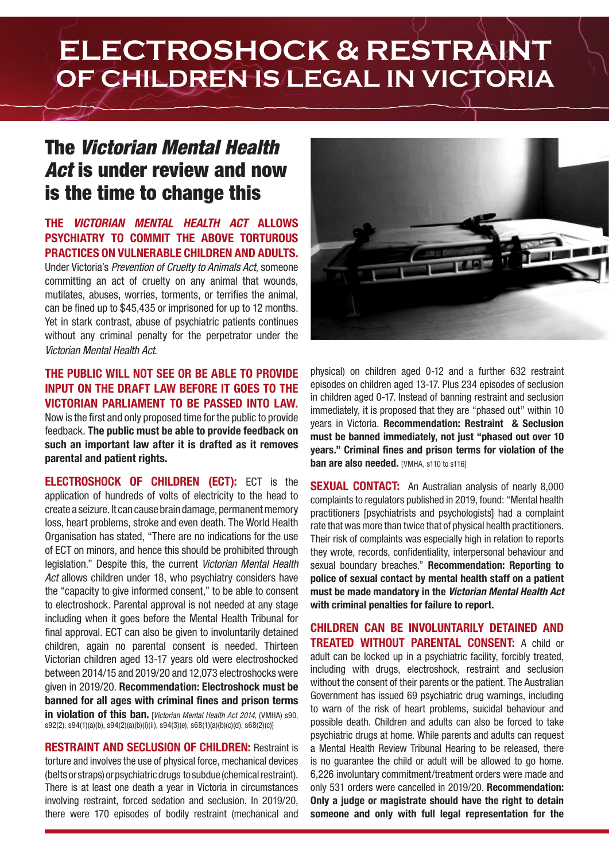# **ELECTROSHOCK & RESTRAINT OF CHILDREN IS LEGAL IN VICTORIA**

### The *Victorian Mental Health Act* is under review and now is the time to change this

### **THE** *VICTORIAN MENTAL HEALTH ACT* **ALLOWS PSYCHIATRY TO COMMIT THE ABOVE TORTUROUS PRACTICES ON VULNERABLE CHILDREN AND ADULTS.**

Under Victoria's *Prevention of Cruelty to Animals Act*, someone committing an act of cruelty on any animal that wounds, mutilates, abuses, worries, torments, or terrifies the animal, can be fined up to \$45,435 or imprisoned for up to 12 months. Yet in stark contrast, abuse of psychiatric patients continues without any criminal penalty for the perpetrator under the *Victorian Mental Health Act*.

#### **THE PUBLIC WILL NOT SEE OR BE ABLE TO PROVIDE INPUT ON THE DRAFT LAW BEFORE IT GOES TO THE VICTORIAN PARLIAMENT TO BE PASSED INTO LAW.**  Now is the first and only proposed time for the public to provide feedback. **The public must be able to provide feedback on**

**such an important law after it is drafted as it removes parental and patient rights.**

**ELECTROSHOCK OF CHILDREN (ECT):** ECT is the application of hundreds of volts of electricity to the head to create a seizure. It can cause brain damage, permanent memory loss, heart problems, stroke and even death. The World Health Organisation has stated, "There are no indications for the use of ECT on minors, and hence this should be prohibited through legislation." Despite this, the current *Victorian Mental Health Act* allows children under 18, who psychiatry considers have the "capacity to give informed consent," to be able to consent to electroshock. Parental approval is not needed at any stage including when it goes before the Mental Health Tribunal for final approval. ECT can also be given to involuntarily detained children, again no parental consent is needed. Thirteen Victorian children aged 13-17 years old were electroshocked between 2014/15 and 2019/20 and 12,073 electroshocks were given in 2019/20. **Recommendation: Electroshock must be banned for all ages with criminal fines and prison terms in violation of this ban.** [*Victorian Mental Health Act 2014, (VMHA) s90.* s92(2), s94(1)(a)(b), s94(2)(a)(b)(i)(ii), s94(3)(e), s68(1)(a)(b)(c)(d), s68(2)(c)]

**RESTRAINT AND SECLUSION OF CHILDREN:** Restraint is torture and involves the use of physical force, mechanical devices (belts or straps) or psychiatric drugs to subdue (chemical restraint). There is at least one death a year in Victoria in circumstances involving restraint, forced sedation and seclusion. In 2019/20, there were 170 episodes of bodily restraint (mechanical and



physical) on children aged 0-12 and a further 632 restraint episodes on children aged 13-17. Plus 234 episodes of seclusion in children aged 0-17. Instead of banning restraint and seclusion immediately, it is proposed that they are "phased out" within 10 years in Victoria. **Recommendation: Restraint & Seclusion must be banned immediately, not just "phased out over 10 years." Criminal fines and prison terms for violation of the ban are also needed.** [VMHA, s110 to s116]

**SEXUAL CONTACT:** An Australian analysis of nearly 8,000 complaints to regulators published in 2019, found: "Mental health practitioners [psychiatrists and psychologists] had a complaint rate that was more than twice that of physical health practitioners. Their risk of complaints was especially high in relation to reports they wrote, records, confidentiality, interpersonal behaviour and sexual boundary breaches." **Recommendation: Reporting to police of sexual contact by mental health staff on a patient must be made mandatory in the** *Victorian Mental Health Act* **with criminal penalties for failure to report.** 

**CHILDREN CAN BE INVOLUNTARILY DETAINED AND TREATED WITHOUT PARENTAL CONSENT:** A child or adult can be locked up in a psychiatric facility, forcibly treated, including with drugs, electroshock, restraint and seclusion without the consent of their parents or the patient. The Australian Government has issued 69 psychiatric drug warnings, including to warn of the risk of heart problems, suicidal behaviour and possible death. Children and adults can also be forced to take psychiatric drugs at home. While parents and adults can request a Mental Health Review Tribunal Hearing to be released, there is no guarantee the child or adult will be allowed to go home. 6,226 involuntary commitment/treatment orders were made and only 531 orders were cancelled in 2019/20. **Recommendation: Only a judge or magistrate should have the right to detain someone and only with full legal representation for the**